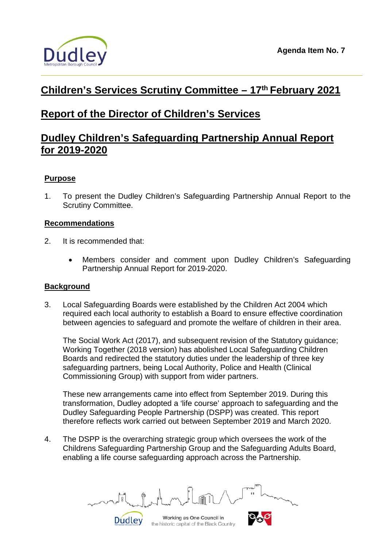

# **Children's Services Scrutiny Committee – 17th February 2021**

# **Report of the Director of Children's Services**

# **Dudley Children's Safeguarding Partnership Annual Report for 2019-2020**

# **Purpose**

1. To present the Dudley Children's Safeguarding Partnership Annual Report to the Scrutiny Committee.

## **Recommendations**

- 2. It is recommended that:
	- Members consider and comment upon Dudley Children's Safeguarding Partnership Annual Report for 2019-2020.

### **Background**

3. Local Safeguarding Boards were established by the Children Act 2004 which required each local authority to establish a Board to ensure effective coordination between agencies to safeguard and promote the welfare of children in their area.

The Social Work Act (2017), and subsequent revision of the Statutory guidance; Working Together (2018 version) has abolished Local Safeguarding Children Boards and redirected the statutory duties under the leadership of three key safeguarding partners, being Local Authority, Police and Health (Clinical Commissioning Group) with support from wider partners.

These new arrangements came into effect from September 2019. During this transformation, Dudley adopted a 'life course' approach to safeguarding and the Dudley Safeguarding People Partnership (DSPP) was created. This report therefore reflects work carried out between September 2019 and March 2020.

4. The DSPP is the overarching strategic group which oversees the work of the Childrens Safeguarding Partnership Group and the Safeguarding Adults Board, enabling a life course safeguarding approach across the Partnership.

Working as One Council in

the historic capital of the Black Country

**Dudley**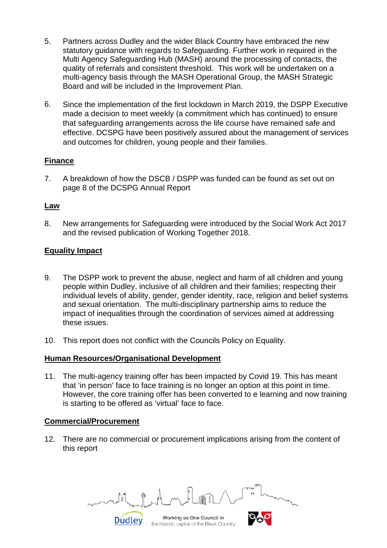- 5. Partners across Dudley and the wider Black Country have embraced the new statutory guidance with regards to Safeguarding. Further work in required in the Multi Agency Safeguarding Hub (MASH) around the processing of contacts, the quality of referrals and consistent threshold. This work will be undertaken on a multi-agency basis through the MASH Operational Group, the MASH Strategic Board and will be included in the Improvement Plan.
- 6. Since the implementation of the first lockdown in March 2019, the DSPP Executive made a decision to meet weekly (a commitment which has continued) to ensure that safeguarding arrangements across the life course have remained safe and effective. DCSPG have been positively assured about the management of services and outcomes for children, young people and their families.

## **Finance**

7. A breakdown of how the DSCB / DSPP was funded can be found as set out on page 8 of the DCSPG Annual Report

### **Law**

8. New arrangements for Safeguarding were introduced by the Social Work Act 2017 and the revised publication of Working Together 2018.

## **Equality Impact**

- 9. The DSPP work to prevent the abuse, neglect and harm of all children and young people within Dudley, inclusive of all children and their families; respecting their individual levels of ability, gender, gender identity, race, religion and belief systems and sexual orientation. The multi-disciplinary partnership aims to reduce the impact of inequalities through the coordination of services aimed at addressing these issues.
- 10. This report does not conflict with the Councils Policy on Equality.

#### **Human Resources/Organisational Development**

Dudley

11. The multi-agency training offer has been impacted by Covid 19. This has meant that 'in person' face to face training is no longer an option at this point in time. However, the core training offer has been converted to e learning and now training is starting to be offered as 'virtual' face to face.

#### **Commercial/Procurement**

12. There are no commercial or procurement implications arising from the content of this report

Working as One Council in the historic capital of the Black Country